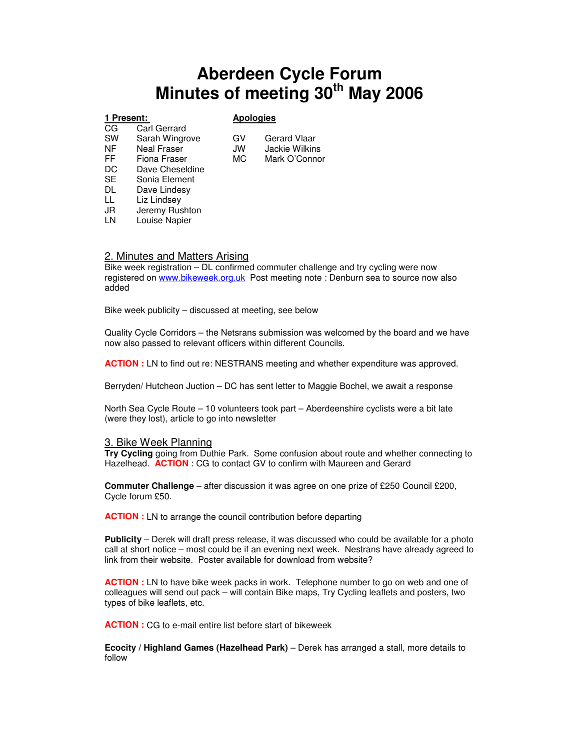# **Aberdeen Cycle Forum Minutes of meeting 30th May 2006**

#### **1 Present: Apologies**

| СG | Carl Gerrard    |
|----|-----------------|
| SW | Sarah Wingrove  |
| ΝF | Neal Fraser     |
| FF | Fiona Fraser    |
| DC | Dave Cheseldine |
| SE | Sonia Element   |
| DL | Dave Lindesy    |
| LL | Liz Lindsey     |
| JR | Jeremy Rushton  |
| LN | Louise Napier   |

GV Gerard Vlaar JW Jackie Wilkins<br>MC Mark O'Conno Mark O'Connor

### 2. Minutes and Matters Arising

Bike week registration – DL confirmed commuter challenge and try cycling were now registered on www.bikeweek.org.uk Post meeting note : Denburn sea to source now also added

Bike week publicity – discussed at meeting, see below

Quality Cycle Corridors – the Netsrans submission was welcomed by the board and we have now also passed to relevant officers within different Councils.

**ACTION :** LN to find out re: NESTRANS meeting and whether expenditure was approved.

Berryden/ Hutcheon Juction – DC has sent letter to Maggie Bochel, we await a response

North Sea Cycle Route – 10 volunteers took part – Aberdeenshire cyclists were a bit late (were they lost), article to go into newsletter

#### 3. Bike Week Planning

**Try Cycling** going from Duthie Park. Some confusion about route and whether connecting to Hazelhead. **ACTION** : CG to contact GV to confirm with Maureen and Gerard

**Commuter Challenge** – after discussion it was agree on one prize of £250 Council £200, Cycle forum £50.

**ACTION :** LN to arrange the council contribution before departing

**Publicity** – Derek will draft press release, it was discussed who could be available for a photo call at short notice – most could be if an evening next week. Nestrans have already agreed to link from their website. Poster available for download from website?

**ACTION :** LN to have bike week packs in work. Telephone number to go on web and one of colleagues will send out pack – will contain Bike maps, Try Cycling leaflets and posters, two types of bike leaflets, etc.

**ACTION :** CG to e-mail entire list before start of bikeweek

**Ecocity / Highland Games (Hazelhead Park)** – Derek has arranged a stall, more details to follow